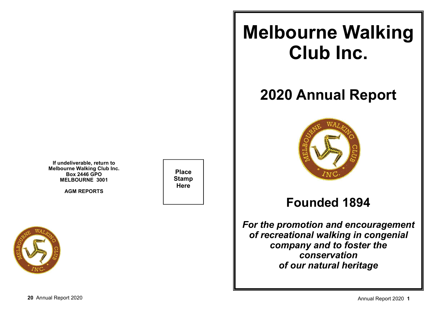**If undeliverable, return to Melbourne Walking Club Inc.Box 2446 GPOMELBOURNE 3001**

**AGM REPORTS**



**Place StampHere**

# **Melbourne Walking Club Inc.**

# **2020 Annual Report**



# **Founded 1894**

*For the promotion and encouragementof recreational walking in congenial company and to foster theconservationof our natural heritage*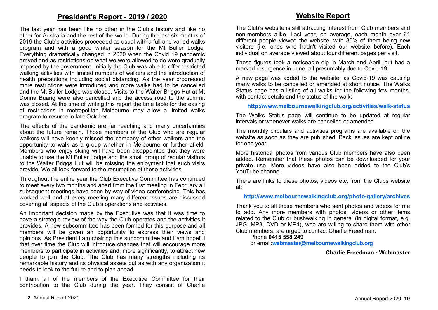### **President's Report - 2019 / 2020**

The last year has been like no other in the Club's history and like no other for Australia and the rest of the world. During the last six months of 2019 the Club's activities proceeded as usual with a full and varied walks program and with a good winter season for the Mt Buller Lodge. Everything dramatically changed in 2020 when the Covid 19 pandemic arrived and as restrictions on what we were allowed to do were gradually imposed by the government. Initially the Club was able to offer restricted walking activities with limited numbers of walkers and the introduction of health precautions including social distancing. As the year progressed more restrictions were introduced and more walks had to be cancelled and the Mt Buller Lodge was closed. Visits to the Walter Briggs Hut at Mt Donna Buang were also cancelled and the access road to the summit was closed. At the time of writing this report the time table for the easing of restrictions in metropolitan Melbourne may allow a limited walks program to resume in late October.

The effects of the pandemic are far reaching and many uncertainties about the future remain. Those members of the Club who are regular walkers will have keenly missed the company of other walkers and the opportunity to walk as a group whether in Melbourne or further afield. Members who enjoy skiing will have been disappointed that they were unable to use the Mt Buller Lodge and the small group of regular visitors to the Walter Briggs Hut will be missing the enjoyment that such visits provide. We all look forward to the resumption of these activities.

Throughout the entire year the Club Executive Committee has continued to meet every two months and apart from the first meeting in February all subsequent meetings have been by way of video conferencing. This has worked well and at every meeting many different issues are discussed covering all aspects of the Club's operations and activities.

An important decision made by the Executive was that it was time to have a strategic review of the way the Club operates and the activities it provides. A new subcommittee has been formed for this purpose and all members will be given an opportunity to express their views and opinions. As President I am chairing this subcommittee and I am hopeful that over time the Club will introduce changes that will encourage more members to participate in activities and, more significantly, to attract new people to join the Club. The Club has many strengths including its remarkable history and its physical assets but as with any organization it needs to look to the future and to plan ahead.

I thank all of the members of the Executive Committee for their contribution to the Club during the year. They consist of Charlie

# **Website Report**

The Club's website is still attracting interest from Club members and non-members alike. Last year, on average, each month over 61 different people viewed the website, with 80% of them being new visitors (i.e. ones who hadn't visited our website before). Each individual on average viewed about four different pages per visit.

These figures took a noticeable dip in March and April, but had a marked resurgence in June, all presumably due to Covid-19.

A new page was added to the website, as Covid-19 was causing many walks to be cancelled or amended at short notice. The Walks Status page has a listing of all walks for the following few months, with contact details and the status of the walk:

**http://www.melbournewalkingclub.org/activities/walk-status**

The Walks Status page will continue to be updated at regular intervals or whenever walks are cancelled or amended.

The monthly circulars and activities programs are available on the website as soon as they are published. Back issues are kept online for one year.

More historical photos from various Club members have also been added. Remember that these photos can be downloaded for your private use. More videos have also been added to the Club's YouTube channel.

There are links to these photos, videos etc. from the Clubs website at:

#### **http://www.melbournewalkingclub.org/photo-gallery/archives**

Thank you to all those members who sent photos and videos for me to add. Any more members with photos, videos or other items related to the Club or bushwalking in general (in digital format, e.g. JPG, MP3, DVD or MP4), who are willing to share them with other Club members, are urged to contact Charlie Freedman:

#### Phone **0415 558 249**

or email:**webmaster@melbournewalkingclub.org**

#### **Charlie Freedman - Webmaster**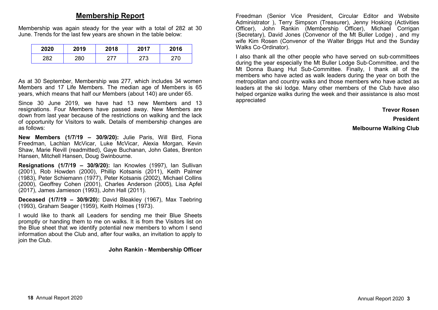# **Membership Report**

Membership was again steady for the year with a total of 282 at 30 June. Trends for the last few years are shown in the table below:

| 2020 | 2019 | 2018 | 2017        | 2016 |
|------|------|------|-------------|------|
| 282  | 280  |      | ,70<br>ں ہے |      |

As at 30 September, Membership was 277, which includes 34 women Members and 17 Life Members. The median age of Members is 65 years, which means that half our Members (about 140) are under 65.

Since 30 June 2019, we have had 13 new Members and 13 resignations. Four Members have passed away. New Members are down from last year because of the restrictions on walking and the lack of opportunity for Visitors to walk. Details of membership changes are as follows:

**New Members (1/7/19 – 30/9/20):** Julie Paris, Will Bird, Fiona Freedman, Lachlan McVicar, Luke McVicar, Alexia Morgan, Kevin Shaw, Marie Revill (readmitted), Gaye Buchanan, John Gates, Brenton Hansen, Mitchell Hansen, Doug Swinbourne.

**Resignations (1/7/19 – 30/9/20):** Ian Knowles (1997), Ian Sullivan (2001), Rob Howden (2000), Phillip Kotsanis (2011), Keith Palmer (1983), Peter Schiemann (1977), Peter Kotsanis (2002), Michael Collins (2000), Geoffrey Cohen (2001), Charles Anderson (2005), Lisa Apfel (2017), James Jamieson (1993), John Hall (2011).

**Deceased (1/7/19 – 30/9/20):** David Bleakley (1967), Max Taebring (1993), Graham Seager (1959), Keith Holmes (1973).

I would like to thank all Leaders for sending me their Blue Sheets promptly or handing them to me on walks. It is from the Visitors list on the Blue sheet that we identify potential new members to whom I send information about the Club and, after four walks, an invitation to apply to join the Club.

#### **John Rankin - Membership Officer**

Freedman (Senior Vice President, Circular Editor and Website Administrator ), Terry Simpson (Treasurer), Jenny Hosking (Activities Officer), John Rankin (Membership Officer), Michael Corrigan (Secretary), David Jones (Convenor of the Mt Buller Lodge) , and my wife Kim Rosen (Convenor of the Walter Briggs Hut and the Sunday Walks Co-Ordinator).

I also thank all the other people who have served on sub-committees during the year especially the Mt Buller Lodge Sub-Committee, and the Mt Donna Buang Hut Sub-Committee. Finally, I thank all of the members who have acted as walk leaders during the year on both the metropolitan and country walks and those members who have acted as leaders at the ski lodge. Many other members of the Club have also helped organize walks during the week and their assistance is also most appreciated

#### **Trevor Rosen**

**President**

**Melbourne Walking Club**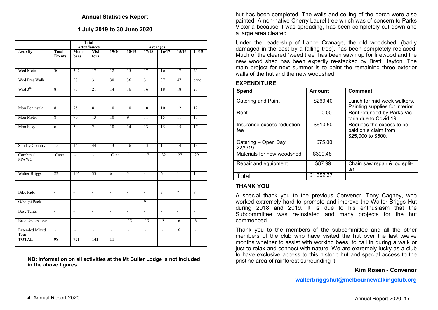#### **1 July 2019 to 30 June 2020**

|                               | <b>Total</b><br><b>Attendances</b> |                          |                          | <b>Averages</b>           |                          |                 |                          |                 |                          |
|-------------------------------|------------------------------------|--------------------------|--------------------------|---------------------------|--------------------------|-----------------|--------------------------|-----------------|--------------------------|
| <b>Activity</b>               | <b>Total</b><br><b>Events</b>      | Mem-<br>bers             | Visi-<br>tors            | 19/20                     | 18/19                    | 17/18           | 16/17                    | 15/16           | 14/15                    |
| Wed Metro                     | 30                                 | 347                      | 17                       | 12                        | 15                       | 17              | 16                       | 17              | 21                       |
| Wed Pres Walk                 | $\overline{1}$                     | 27                       | $\overline{3}$           | 30                        | 36                       | 31              | 37                       | 47              | canc                     |
| Wed 3rd                       | 8                                  | 93                       | 21                       | 14                        | 16                       | 16              | 18                       | 18              | 21                       |
| Mon Peninsula                 | 8                                  | 75                       | $\overline{8}$           | 10                        | 10                       | $\overline{10}$ | 10                       | $\overline{12}$ | 12                       |
| Mon Metro                     | 8                                  | 70                       | 13                       | 10                        | 9                        | $\overline{11}$ | 15                       | $\overline{11}$ | $\overline{11}$          |
| Mon Easy                      | $\overline{6}$                     | 59                       | $\overline{2}$           | 10                        | 14                       | 13              | $\overline{15}$          | 15              | 17                       |
| <b>Sunday Country</b>         | 15                                 | 145                      | 44                       | 13                        | 16                       | 13              | $\overline{11}$          | $\overline{14}$ | 13                       |
| Combined<br><b>MWWC</b>       | Canc                               | $\overline{a}$           | $\mathbf{r}$             | Canc                      | $\overline{11}$          | 17              | 32                       | 27              | 29                       |
| <b>Walter Briggs</b>          | 22                                 | 105                      | 33                       | $\overline{6}$            | 5                        | $\overline{4}$  | $\overline{6}$           | $\overline{11}$ | $\overline{1}$           |
| <b>Bike Ride</b>              | $\mathcal{L}^{\mathcal{A}}$        | $\mathbf{r}$             | $\mathcal{L}$            | $\mathbb{Z}^{\mathbb{Z}}$ | $\mathcal{L}$            | τ               | $\overline{7}$           | $\overline{7}$  | $\overline{9}$           |
| O/Night Pack                  | $\overline{\phantom{a}}$           | $\overline{\phantom{a}}$ | $\overline{\phantom{a}}$ | $\overline{\phantom{a}}$  | $\overline{\phantom{a}}$ | 9               | $\overline{\phantom{a}}$ | $\blacksquare$  | $\overline{\phantom{a}}$ |
| <b>Base Tents</b>             | $\overline{a}$                     | $\overline{a}$           | $\overline{\phantom{a}}$ | $\overline{a}$            | $\mathbb{L}$             | L.              | L,                       | $\mathbf{r}$    | $\overline{a}$           |
| <b>Base Undercover</b>        | $\overline{\phantom{a}}$           | $\overline{a}$           | $\overline{\phantom{a}}$ | $\mathcal{L}$             | $\overline{13}$          | 13              | $\overline{9}$           | $\overline{6}$  | $\overline{6}$           |
| <b>Extended Mixed</b><br>Tour | $\overline{\phantom{a}}$           | $\overline{\phantom{a}}$ | $\mathcal{L}$            | $\overline{\phantom{a}}$  | $\omega$                 | $\mathbb{Z}$    | $\overline{\phantom{a}}$ | 6               | $\overline{\phantom{a}}$ |
| <b>TOTAL</b>                  | 98                                 | 921                      | 141                      | $\overline{11}$           |                          |                 |                          |                 |                          |

**NB: Information on all activities at the Mt Buller Lodge is not included in the above figures.**

hut has been completed. The walls and ceiling of the porch were also painted. A non-native Cherry Laurel tree which was of concern to Parks Victoria because it was spreading, has been completely cut down and a large area cleared.

Under the leadership of Lance Cranage, the old woodshed, (badly damaged in the past by a falling tree), has been completely replaced. Much of the cleared "weed tree" has been sawn up for firewood and the new wood shed has been expertly re-stacked by Brett Hayton. The main project for next summer is to paint the remaining three exterior walls of the hut and the new woodshed.

#### **EXPENDITURE**

| Spend                             | <b>Amount</b> | <b>Comment</b>                                                         |
|-----------------------------------|---------------|------------------------------------------------------------------------|
| Catering and Paint                | \$269.40      | Lunch for mid-week walkers.<br>Painting supplies for interior.         |
| Rent                              | 0.00          | Rent refunded by Parks Vic-<br>toria due to Covid 19                   |
| Insurance excess reduction<br>fee | \$610.50      | Reduces the excess to be<br>paid on a claim from<br>\$25,000 to \$500. |
| Catering - Open Day<br>22/9/19    | \$75.00       |                                                                        |
| Materials for new woodshed        | \$309.48      |                                                                        |
| Repair and equipment              | \$87.99       | Chain saw repair & log split-<br>ter                                   |
| Total                             | \$1,352.37    |                                                                        |

#### **THANK YOU**

 A special thank you to the previous Convenor, Tony Cagney, who worked extremely hard to promote and improve the Walter Briggs Hut during 2018 and 2019. It is due to his enthusiasm that the Subcommittee was re-instated and many projects for the hut commenced.

Thank you to the members of the subcommittee and all the other members of the club who have visited the hut over the last twelve months whether to assist with working bees, to call in during a walk or just to relax and connect with nature. We are extremely lucky as a club to have exclusive access to this historic hut and special access to the pristine area of rainforest surrounding it.

#### **Kim Rosen - Convenor**

**walterbriggshut@melbournewalkingclub.org**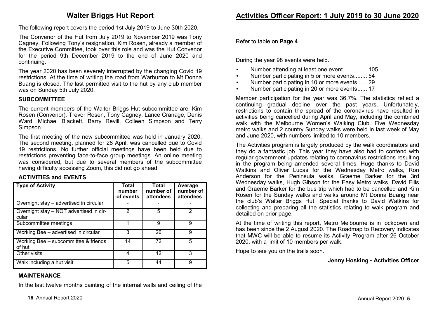## **Walter Briggs Hut Report**

The following report covers the period 1st July 2019 to June 30th 2020.

The Convenor of the Hut from July 2019 to November 2019 was Tony Cagney. Following Tony's resignation, Kim Rosen, already a member of the Executive Committee, took over this role and was the Hut Convenor for the period 9th December 2019 to the end of June 2020 and continuing.

The year 2020 has been severely interrupted by the changing Covid 19 restrictions. At the time of writing the road from Warburton to Mt Donna Buang is closed. The last permitted visit to the hut by any club member was on Sunday 5th July 2020.

#### **SUBCOMMITTEE**

 The current members of the Walter Briggs Hut subcommittee are: Kim Rosen (Convenor), Trevor Rosen, Tony Cagney, Lance Cranage, Denis Ward, Michael Blackett, Barry Revill, Colleen Simpson and Terry Simpson.

The first meeting of the new subcommittee was held in January 2020. The second meeting, planned for 28 April, was cancelled due to Covid 19 restrictions. No further official meetings have been held due to restrictions preventing face-to-face group meetings. An online meeting was considered, but due to several members of the subcommittee having difficulty accessing Zoom, this did not go ahead.

#### **ACTIVITIES and EVENTS**

| <b>Type of Activity</b>                             | <b>Total</b><br>number<br>of events | Total<br>number of<br>attendees | Average<br>number of<br>attendees |
|-----------------------------------------------------|-------------------------------------|---------------------------------|-----------------------------------|
| Overnight stay - advertised in circular             |                                     |                                 |                                   |
| Overnight stay - NOT advertised in cir-<br>cular    | 2                                   | 5                               | 2                                 |
| Subcommittee meetings                               |                                     | 9                               | 9                                 |
| Working Bee - advertised in circular                | 3                                   | 26                              | 9                                 |
| Working Bee $-$ subcommittee $\&$ friends<br>of hut | 14                                  | 72                              | 5                                 |
| Other visits                                        | 4                                   | 12                              | З                                 |
| Walk including a hut visit                          | 5                                   | 44                              | 9                                 |

#### **MAINTENANCE**

In the last twelve months painting of the internal walls and ceiling of the

Refer to table on **Page 4**.

During the year 98 events were held.

- Number attending at least one event................ 105
- Number participating in 5 or more events ........ 54
- Number participating in 10 or more events ...... 29
- Number participating in 20 or more events ...... 17

Member participation for the year was 36.7%. The statistics reflect a continuing gradual decline over the past years. Unfortunately, restrictions to contain the spread of the coronavirus have resulted in activities being cancelled during April and May, including the combined walk with the Melbourne Women's Walking Club. Five Wednesday metro walks and 2 country Sunday walks were held in last week of May and June 2020, with numbers limited to 10 members.

The Activities program is largely produced by the walk coordinators and they do a fantastic job. This year they have also had to contend with regular government updates relating to coronavirus restrictions resulting in the program being amended several times. Huge thanks to David Watkins and Oliver Lucas for the Wednesday Metro walks, Ron Anderson for the Peninsula walks, Graeme Barker for the 3rd Wednesday walks, Hugh Gibson for the Easy Metro walks, David Ellis and Graeme Barker for the bus trip which had to be cancelled and Kim Rosen for the Sunday walks and walks around Mt Donna Buang near the club's Walter Briggs Hut. Special thanks to David Watkins for collecting and preparing all the statistics relating to walk program and detailed on prior page.

At the time of writing this report, Metro Melbourne is in lockdown and has been since the 2 August 2020. The Roadmap to Recovery indicates that MWC will be able to resume its Activity Program after 26 October 2020, with a limit of 10 members per walk.

Hope to see you on the trails soon.

#### **Jenny Hosking - Activities Officer**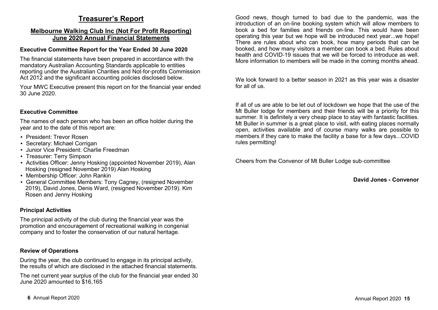# **Treasurer's Report**

#### **Melbourne Walking Club Inc (Not For Profit Reporting)June 2020 Annual Financial Statements**

#### **Executive Committee Report for the Year Ended 30 June 2020**

The financial statements have been prepared in accordance with the mandatory Australian Accounting Standards applicable to entities reporting under the Australian Charities and Not-for-profits Commission Act 2012 and the significant accounting policies disclosed below.

Your MWC Executive present this report on for the financial year ended 30 June 2020.

#### **Executive Committee**

The names of each person who has been an office holder during the year and to the date of this report are:

- President: Trevor Rosen
- Secretary: Michael Corrigan
- Junior Vice President: Charlie Freedman
- Treasurer: Terry Simpson
- Activities Officer: Jenny Hosking (appointed November 2019), Alan Hosking (resigned November 2019) Alan Hosking
- Membership Officer: John Rankin
- General Committee Members: Tony Cagney, (resigned November 2019), David Jones, Denis Ward, (resigned November 2019). Kim Rosen and Jenny Hosking

#### **Principal Activities**

The principal activity of the club during the financial year was the promotion and encouragement of recreational walking in congenial company and to foster the conservation of our natural heritage.

#### **Review of Operations**

During the year, the club continued to engage in its principal activity, the results of which are disclosed in the attached financial statements.

The net current year surplus of the club for the financial year ended 30 June 2020 amounted to \$16,165

Good news, though turned to bad due to the pandemic, was the introduction of an on-line booking system which will allow members to book a bed for families and friends on-line. This would have been operating this year but we hope will be introduced next year...we hope! There are rules about who can book, how many periods that can be booked, and how many visitors a member can book a bed. Rules about health and COVID-19 issues that we will be forced to introduce as well. More information to members will be made in the coming months ahead.

We look forward to a better season in 2021 as this year was a disaster for all of us.

If all of us are able to be let out of lockdown we hope that the use of the Mt Buller lodge for members and their friends will be a priority for this summer. It is definitely a very cheap place to stay with fantastic facilities. Mt Buller in summer is a great place to visit, with eating places normally open, activities available and of course many walks are possible to members if they care to make the facility a base for a few days...COVID rules permitting!

Cheers from the Convenor of Mt Buller Lodge sub-committee

**David Jones - Convenor**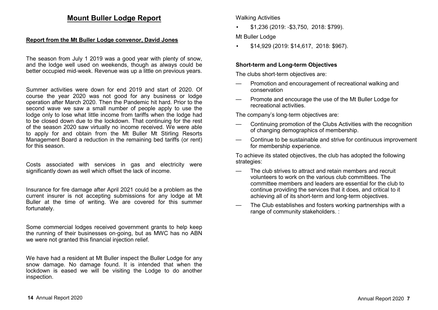### **Mount Buller Lodge Report**

#### **Report from the Mt Buller Lodge convenor, David Jones**

The season from July 1 2019 was a good year with plenty of snow, and the lodge well used on weekends, though as always could be better occupied mid-week. Revenue was up a little on previous years.

Summer activities were down for end 2019 and start of 2020. Of course the year 2020 was not good for any business or lodge operation after March 2020. Then the Pandemic hit hard. Prior to the second wave we saw a small number of people apply to use the lodge only to lose what little income from tariffs when the lodge had to be closed down due to the lockdown. That continuing for the rest of the season 2020 saw virtually no income received. We were able to apply for and obtain from the Mt Buller Mt Stirling Resorts Management Board a reduction in the remaining bed tariffs (or rent) for this season.

Costs associated with services in gas and electricity were significantly down as well which offset the lack of income.

Insurance for fire damage after April 2021 could be a problem as the current insurer is not accepting submissions for any lodge at Mt Buller at the time of writing. We are covered for this summer fortunately.

Some commercial lodges received government grants to help keep the running of their businesses on-going, but as MWC has no ABN we were not granted this financial injection relief.

We have had a resident at Mt Buller inspect the Buller Lodge for any snow damage. No damage found. It is intended that when the lockdown is eased we will be visiting the Lodge to do another inspection.

Walking Activities

• \$1,236 (2019: -\$3,750, 2018: \$799).

Mt Buller Lodge

• \$14,929 (2019: \$14,617, 2018: \$967).

#### **Short-term and Long-term Objectives**

The clubs short-term objectives are:

- Promotion and encouragement of recreational walking and conservation
- Promote and encourage the use of the Mt Buller Lodge for recreational activities.

The company's long-term objectives are:

- Continuing promotion of the Clubs Activities with the recognition of changing demographics of membership.
- Continue to be sustainable and strive for continuous improvement for membership experience.

To achieve its stated objectives, the club has adopted the following strategies:

- The club strives to attract and retain members and recruit volunteers to work on the various club committees. The committee members and leaders are essential for the club to continue providing the services that it does, and critical to it achieving all of its short-term and long-term objectives.
- The Club establishes and fosters working partnerships with a range of community stakeholders. :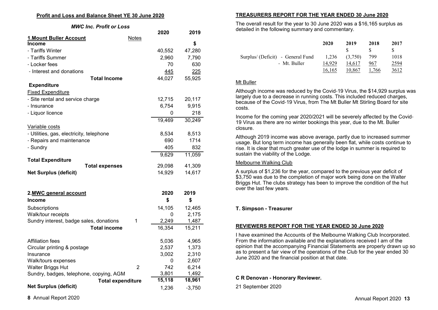#### **Profit and Loss and Balance Sheet YE 30 June 2020**

*MWC Inc. Profit or Loss*

|                                          |              | 2020   | 2019     |
|------------------------------------------|--------------|--------|----------|
| 1. Mount Buller Account                  | <b>Notes</b> |        |          |
| Income                                   |              |        | \$       |
| - Tariffs Winter                         |              | 40,552 | 47,280   |
| - Tariffs Summer                         |              | 2,960  | 7,790    |
| - Locker fees                            |              | 70     | 630      |
| - Interest and donations                 |              | 445    | 225      |
| <b>Total Income</b>                      |              | 44,027 | 55,925   |
| <b>Expenditure</b>                       |              |        |          |
| <b>Fixed Expenditure</b>                 |              |        |          |
| - Site rental and service charge         |              | 12,715 | 20,117   |
| - Insurance                              |              | 6,754  | 9,915    |
| - Liquor licence                         |              | 0      | 218      |
|                                          |              | 19,469 | 30,249   |
| Variable costs                           |              |        |          |
| - Utilities, gas, electricity, telephone |              | 8,534  | 8,513    |
| - Repairs and maintenance                |              | 690    | 1714     |
| - Sundry                                 |              | 405    | 832      |
|                                          |              | 9,629  | 11,059   |
| <b>Total Expenditure</b>                 |              | 29,098 | 41,309   |
| <b>Total expenses</b>                    |              |        |          |
| <b>Net Surplus (deficit)</b>             |              | 14,929 | 14,617   |
|                                          |              |        |          |
| 2.MWC general account                    |              | 2020   | 2019     |
| <b>Income</b>                            |              | \$     | \$       |
| Subscriptions                            |              | 14,105 | 12,465   |
| Walk/tour receipts                       |              | 0      | 2,175    |
| Sundry interest, badge sales, donations  | 1            | 2,249  | 1,487    |
| <b>Total income</b>                      |              | 16,354 | 15,211   |
|                                          |              |        |          |
| <b>Affiliation fees</b>                  |              | 5,036  | 4,965    |
| Circular printing & postage              |              | 2,537  | 1,373    |
| Insurance                                |              | 3,002  | 2,310    |
| Walk/tours expenses                      |              | 0      | 2,607    |
| Walter Briggs Hut                        | 2            | 742    | 6,214    |
| Sundry, badges, telephone, copying, AGM  |              | 3,801  | 1,492    |
| <b>Total expenditure</b>                 |              | 15,118 | 18,961   |
| <b>Net Surplus (deficit)</b>             |              | 1,236  | $-3,750$ |

#### **TREASURERS REPORT FOR THE YEAR ENDED 30 June 2020**

The overall result for the year to 30 June 2020 was a \$16,165 surplus as detailed in the following summary and commentary.

|                                   | 2020   | 2019    | 2018  | 2017 |
|-----------------------------------|--------|---------|-------|------|
|                                   |        |         |       | \$.  |
| Surplus/ (Deficit) - General Fund | 1.236  | (3,750) | 799   | 1018 |
| - Mt. Buller                      | 14.929 | 14,617  | 967   | 2594 |
|                                   | 16.165 | 10.867  | 1.766 | 3612 |

#### Mt Buller

Although income was reduced by the Covid-19 Virus, the \$14,929 surplus was largely due to a decrease in running costs. This included reduced charges, because of the Covid-19 Virus, from The Mt Buller Mt Stirling Board for site costs.

Income for the coming year 2020/2021 will be severely affected by the Covid-19 Virus as there are no winter bookings this year, due to the Mt. Buller closure.

Although 2019 income was above average, partly due to increased summer usage. But long term income has generally been flat, while costs continue to rise. It is clear that much greater use of the lodge in summer is required to sustain the viability of the Lodge.

#### Melbourne Walking Club

A surplus of \$1,236 for the year, compared to the previous year deficit of \$3,750 was due to the completion of major work being done on the Walter Briggs Hut. The clubs strategy has been to improve the condition of the hut over the last few years.

#### **T. Simpson - Treasurer**

#### **REVIEWERS REPORT FOR THE YEAR ENDED 30 June 2020**

I have examined the Accounts of the Melbourne Walking Club Incorporated. From the information available and the explanations received I am of the opinion that the accompanying Financial Statements are properly drawn up so as to present a fair view of the operations of the Club for the year ended 30 June 2020 and the financial position at that date.

#### **C R Denovan - Honorary Reviewer.**

21 September 2020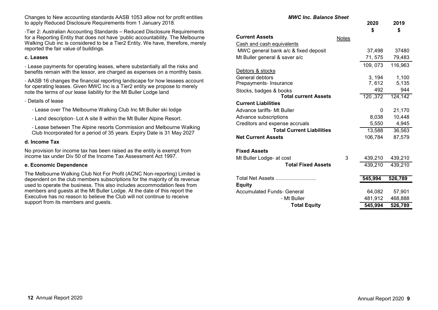to apply Reduced Disclosure Requirements from 1 January 2018.

 for a Reporting Entity that does not have 'public accountability. The Melbourne Walking Club inc is considered to be a Tier2 Entity. We have, therefore, merely reported the fair value of buildings.

Changes to New accounting standards AASB 1053 allow not for profit entities

#### **c. Leases**

- Lease payments for operating leases, where substantially all the risks and benefits remain with the lessor, are charged as expenses on a monthly basis.

- AASB 16 changes the financial reporting landscape for how lessees account for operating leases. Given MWC Inc is a Tier2 entity we propose to merely note the terms of our lease liability for the Mt Buller Lodge land

- Details of lease

- Lease over The Melbourne Walking Club Inc Mt Buller ski lodge

- Land description- Lot A site 8 within the Mt Buller Alpine Resort.

- Lease between The Alpine resorts Commission and Melbourne Walking Club Incorporated for a period of 35 years. Expiry Date is 31 May 2027

#### **d. Income Tax**

No provision for income tax has been raised as the entity is exempt from income tax under Div 50 of the Income Tax Assessment Act 1997.

#### **e. Economic Dependence**

The Melbourne Walking Club Not For Profit (ACNC Non-reporting) Limited is dependent on the club members subscriptions for the majority of its revenue used to operate the business. This also includes accommodation fees from members and guests at the Mt Buller Lodge. At the date of this report the Executive has no reason to believe the Club will not continue to receive support from its members and guests.

|                                      |              | 2020<br>\$ | 2019<br>\$ |
|--------------------------------------|--------------|------------|------------|
| <b>Current Assets</b>                | <b>Notes</b> |            |            |
| Cash and cash equivalents            |              |            |            |
| MWC general bank a/c & fixed deposit |              | 37,498     | 37480      |
| Mt Buller general & saver a/c        |              | 71, 575    | 79,483     |
|                                      |              | 109, 073   | 116,963    |
| Debtors & stocks                     |              |            |            |
| General debtors                      |              | 3, 194     | 1,100      |
| Prepayments- Insurance               |              | 7, 612     | 5,135      |
| Stocks, badges & books               |              | 492        | 944        |
| <b>Total current Assets</b>          |              | 120, 372   | 124,142    |
| <b>Current Liabilities</b>           |              |            |            |
| Advance tariffs- Mt Buller           |              | 0          | 21,170     |
| Advance subscriptions                |              | 8,038      | 10,448     |
| Creditors and expense accruals       |              | 5,550      | 4,945      |
| <b>Total Current Liabilities</b>     |              | 13,588     | 36,563     |
| <b>Net Current Assets</b>            |              | 106,784    | 87,579     |
| <b>Fixed Assets</b>                  |              |            |            |
| Mt Buller Lodge- at cost             | 3            | 439,210    | 439,210    |
| <b>Total Fixed Assets</b>            |              | 439,210    | 439,210    |
|                                      |              |            |            |
| Total Net Assets                     |              | 545,994    | 526,789    |
| <b>Equity</b>                        |              |            |            |
| <b>Accumulated Funds- General</b>    |              | 64,082     | 57,901     |
| - Mt Buller                          |              | 481,912    | 468,888    |
| <b>Total Equity</b>                  |              | 545,994    | 526,789    |

 *MWC Inc. Balance Sheet*